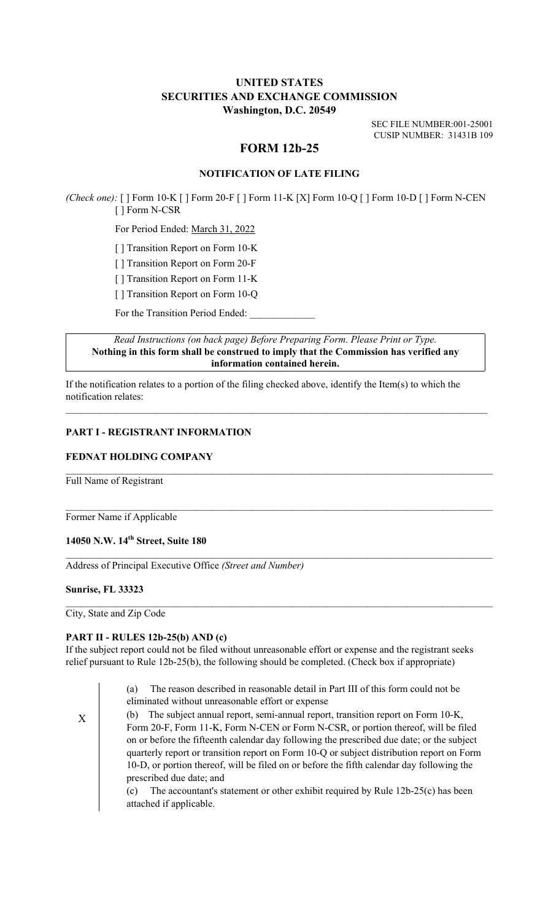## **UNITED STATES SECURITIES AND EXCHANGE COMMISSION Washington, D.C. 20549**

SEC FILE NUMBER:001-25001 CUSIP NUMBER: 31431B 109

# **FORM 12b-25**

## **NOTIFICATION OF LATE FILING**

*(Check one):* [ ] Form 10-K [ ] Form 20-F [ ] Form 11-K [X] Form 10-Q [ ] Form 10-D [ ] Form N-CEN [ ] Form N-CSR

For Period Ended: March 31, 2022

[ ] Transition Report on Form 10-K

[ ] Transition Report on Form 20-F

[ ] Transition Report on Form 11-K

[ ] Transition Report on Form 10-Q

For the Transition Period Ended:

*Read Instructions (on back page) Before Preparing Form. Please Print or Type.* **Nothing in this form shall be construed to imply that the Commission has verified any information contained herein.**

 $\mathcal{L}_\mathcal{L} = \{ \mathcal{L}_\mathcal{L} = \{ \mathcal{L}_\mathcal{L} = \{ \mathcal{L}_\mathcal{L} = \{ \mathcal{L}_\mathcal{L} = \{ \mathcal{L}_\mathcal{L} = \{ \mathcal{L}_\mathcal{L} = \{ \mathcal{L}_\mathcal{L} = \{ \mathcal{L}_\mathcal{L} = \{ \mathcal{L}_\mathcal{L} = \{ \mathcal{L}_\mathcal{L} = \{ \mathcal{L}_\mathcal{L} = \{ \mathcal{L}_\mathcal{L} = \{ \mathcal{L}_\mathcal{L} = \{ \mathcal{L}_\mathcal{$ 

 $\mathcal{L}_\text{max} = \mathcal{L}_\text{max} = \mathcal{L}_\text{max} = \mathcal{L}_\text{max} = \mathcal{L}_\text{max} = \mathcal{L}_\text{max} = \mathcal{L}_\text{max} = \mathcal{L}_\text{max} = \mathcal{L}_\text{max} = \mathcal{L}_\text{max} = \mathcal{L}_\text{max} = \mathcal{L}_\text{max} = \mathcal{L}_\text{max} = \mathcal{L}_\text{max} = \mathcal{L}_\text{max} = \mathcal{L}_\text{max} = \mathcal{L}_\text{max} = \mathcal{L}_\text{max} = \mathcal{$ 

 $\mathcal{L}_\text{max} = \mathcal{L}_\text{max} = \mathcal{L}_\text{max} = \mathcal{L}_\text{max} = \mathcal{L}_\text{max} = \mathcal{L}_\text{max} = \mathcal{L}_\text{max} = \mathcal{L}_\text{max} = \mathcal{L}_\text{max} = \mathcal{L}_\text{max} = \mathcal{L}_\text{max} = \mathcal{L}_\text{max} = \mathcal{L}_\text{max} = \mathcal{L}_\text{max} = \mathcal{L}_\text{max} = \mathcal{L}_\text{max} = \mathcal{L}_\text{max} = \mathcal{L}_\text{max} = \mathcal{$ 

 $\mathcal{L}_\text{max} = \mathcal{L}_\text{max} = \mathcal{L}_\text{max} = \mathcal{L}_\text{max} = \mathcal{L}_\text{max} = \mathcal{L}_\text{max} = \mathcal{L}_\text{max} = \mathcal{L}_\text{max} = \mathcal{L}_\text{max} = \mathcal{L}_\text{max} = \mathcal{L}_\text{max} = \mathcal{L}_\text{max} = \mathcal{L}_\text{max} = \mathcal{L}_\text{max} = \mathcal{L}_\text{max} = \mathcal{L}_\text{max} = \mathcal{L}_\text{max} = \mathcal{L}_\text{max} = \mathcal{$ 

 $\mathcal{L}_\mathcal{L} = \{ \mathcal{L}_\mathcal{L} = \{ \mathcal{L}_\mathcal{L} = \{ \mathcal{L}_\mathcal{L} = \{ \mathcal{L}_\mathcal{L} = \{ \mathcal{L}_\mathcal{L} = \{ \mathcal{L}_\mathcal{L} = \{ \mathcal{L}_\mathcal{L} = \{ \mathcal{L}_\mathcal{L} = \{ \mathcal{L}_\mathcal{L} = \{ \mathcal{L}_\mathcal{L} = \{ \mathcal{L}_\mathcal{L} = \{ \mathcal{L}_\mathcal{L} = \{ \mathcal{L}_\mathcal{L} = \{ \mathcal{L}_\mathcal{$ 

If the notification relates to a portion of the filing checked above, identify the Item(s) to which the notification relates:

### **PART I - REGISTRANT INFORMATION**

#### **FEDNAT HOLDING COMPANY**

Full Name of Registrant

Former Name if Applicable

### **14050 N.W. 14th Street, Suite 180**

Address of Principal Executive Office *(Street and Number)*

#### **Sunrise, FL 33323**

City, State and Zip Code

#### **PART II - RULES 12b-25(b) AND (c)**

If the subject report could not be filed without unreasonable effort or expense and the registrant seeks relief pursuant to Rule 12b-25(b), the following should be completed. (Check box if appropriate)

> (a) The reason described in reasonable detail in Part III of this form could not be eliminated without unreasonable effort or expense

X (b) The subject annual report, semi-annual report, transition report on Form 10-K, Form 20-F, Form 11-K, Form N-CEN or Form N-CSR, or portion thereof, will be filed on or before the fifteenth calendar day following the prescribed due date; or the subject quarterly report or transition report on Form 10-Q or subject distribution report on Form 10-D, or portion thereof, will be filed on or before the fifth calendar day following the prescribed due date; and

(c) The accountant's statement or other exhibit required by Rule 12b-25(c) has been attached if applicable.